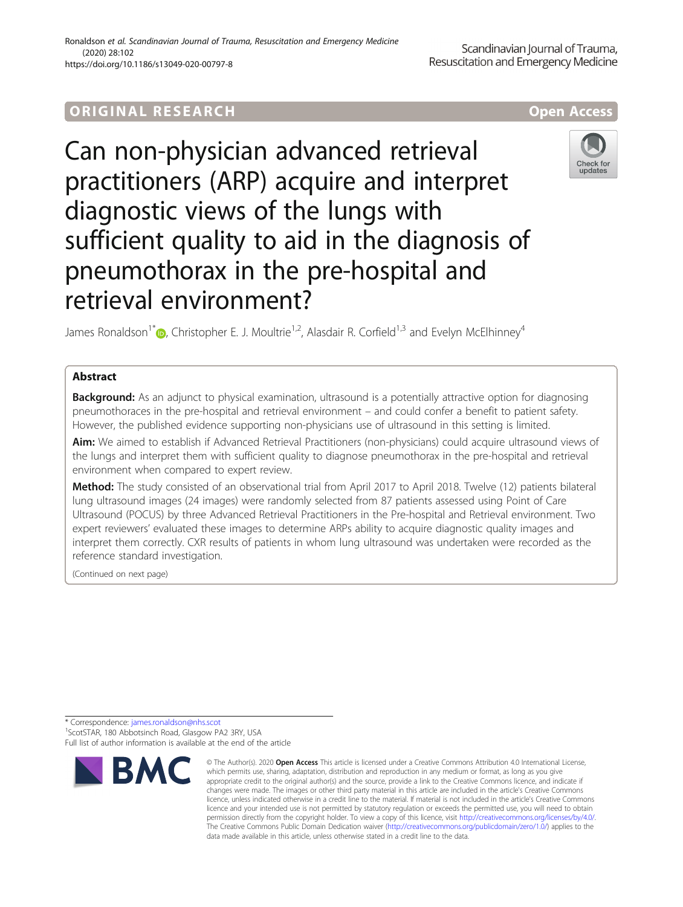# ORIGINA L R E S EA RCH Open Access

Can non-physician advanced retrieval practitioners (ARP) acquire and interpret diagnostic views of the lungs with sufficient quality to aid in the diagnosis of pneumothorax in the pre-hospital and retrieval environment?

James Ronaldson<sup>1\*</sup>  $\bullet$ [,](http://orcid.org/0000-0003-1623-2132) Christopher E. J. Moultrie<sup>1,2</sup>, Alasdair R. Corfield<sup>1,3</sup> and Evelyn McElhinney<sup>4</sup>

## Abstract

**Background:** As an adjunct to physical examination, ultrasound is a potentially attractive option for diagnosing pneumothoraces in the pre-hospital and retrieval environment – and could confer a benefit to patient safety. However, the published evidence supporting non-physicians use of ultrasound in this setting is limited.

Aim: We aimed to establish if Advanced Retrieval Practitioners (non-physicians) could acquire ultrasound views of the lungs and interpret them with sufficient quality to diagnose pneumothorax in the pre-hospital and retrieval environment when compared to expert review.

Method: The study consisted of an observational trial from April 2017 to April 2018. Twelve (12) patients bilateral lung ultrasound images (24 images) were randomly selected from 87 patients assessed using Point of Care Ultrasound (POCUS) by three Advanced Retrieval Practitioners in the Pre-hospital and Retrieval environment. Two expert reviewers' evaluated these images to determine ARPs ability to acquire diagnostic quality images and interpret them correctly. CXR results of patients in whom lung ultrasound was undertaken were recorded as the reference standard investigation.

(Continued on next page)

\* Correspondence: [james.ronaldson@nhs.scot](mailto:james.ronaldson@nhs.scot) <sup>1</sup> <sup>1</sup>ScotSTAR, 180 Abbotsinch Road, Glasgow PA2 3RY, USA Full list of author information is available at the end of the article

**BMC** 



<sup>©</sup> The Author(s), 2020 **Open Access** This article is licensed under a Creative Commons Attribution 4.0 International License, which permits use, sharing, adaptation, distribution and reproduction in any medium or format, as long as you give appropriate credit to the original author(s) and the source, provide a link to the Creative Commons licence, and indicate if changes were made. The images or other third party material in this article are included in the article's Creative Commons licence, unless indicated otherwise in a credit line to the material. If material is not included in the article's Creative Commons licence and your intended use is not permitted by statutory regulation or exceeds the permitted use, you will need to obtain permission directly from the copyright holder. To view a copy of this licence, visit [http://creativecommons.org/licenses/by/4.0/.](http://creativecommons.org/licenses/by/4.0/) The Creative Commons Public Domain Dedication waiver [\(http://creativecommons.org/publicdomain/zero/1.0/](http://creativecommons.org/publicdomain/zero/1.0/)) applies to the data made available in this article, unless otherwise stated in a credit line to the data.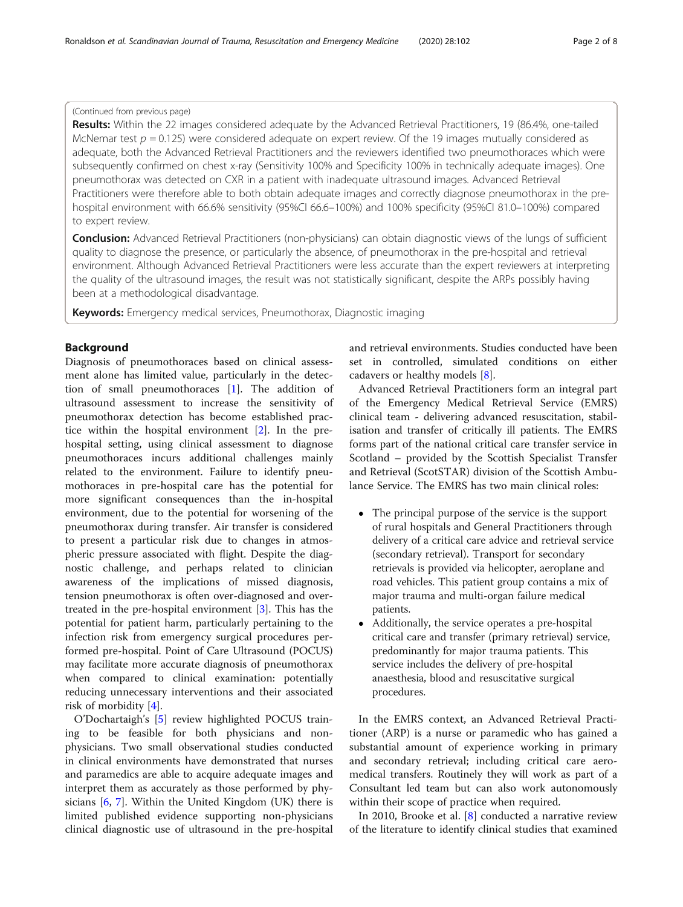## (Continued from previous page)

Results: Within the 22 images considered adequate by the Advanced Retrieval Practitioners, 19 (86.4%, one-tailed McNemar test  $p = 0.125$ ) were considered adequate on expert review. Of the 19 images mutually considered as adequate, both the Advanced Retrieval Practitioners and the reviewers identified two pneumothoraces which were subsequently confirmed on chest x-ray (Sensitivity 100% and Specificity 100% in technically adequate images). One pneumothorax was detected on CXR in a patient with inadequate ultrasound images. Advanced Retrieval Practitioners were therefore able to both obtain adequate images and correctly diagnose pneumothorax in the prehospital environment with 66.6% sensitivity (95%CI 66.6–100%) and 100% specificity (95%CI 81.0–100%) compared to expert review.

**Conclusion:** Advanced Retrieval Practitioners (non-physicians) can obtain diagnostic views of the lungs of sufficient quality to diagnose the presence, or particularly the absence, of pneumothorax in the pre-hospital and retrieval environment. Although Advanced Retrieval Practitioners were less accurate than the expert reviewers at interpreting the quality of the ultrasound images, the result was not statistically significant, despite the ARPs possibly having been at a methodological disadvantage.

Keywords: Emergency medical services, Pneumothorax, Diagnostic imaging

## Background

Diagnosis of pneumothoraces based on clinical assessment alone has limited value, particularly in the detection of small pneumothoraces [\[1](#page-7-0)]. The addition of ultrasound assessment to increase the sensitivity of pneumothorax detection has become established practice within the hospital environment [\[2](#page-7-0)]. In the prehospital setting, using clinical assessment to diagnose pneumothoraces incurs additional challenges mainly related to the environment. Failure to identify pneumothoraces in pre-hospital care has the potential for more significant consequences than the in-hospital environment, due to the potential for worsening of the pneumothorax during transfer. Air transfer is considered to present a particular risk due to changes in atmospheric pressure associated with flight. Despite the diagnostic challenge, and perhaps related to clinician awareness of the implications of missed diagnosis, tension pneumothorax is often over-diagnosed and overtreated in the pre-hospital environment [\[3](#page-7-0)]. This has the potential for patient harm, particularly pertaining to the infection risk from emergency surgical procedures performed pre-hospital. Point of Care Ultrasound (POCUS) may facilitate more accurate diagnosis of pneumothorax when compared to clinical examination: potentially reducing unnecessary interventions and their associated risk of morbidity [[4](#page-7-0)].

O'Dochartaigh's [[5\]](#page-7-0) review highlighted POCUS training to be feasible for both physicians and nonphysicians. Two small observational studies conducted in clinical environments have demonstrated that nurses and paramedics are able to acquire adequate images and interpret them as accurately as those performed by physicians [\[6](#page-7-0), [7\]](#page-7-0). Within the United Kingdom (UK) there is limited published evidence supporting non-physicians clinical diagnostic use of ultrasound in the pre-hospital

and retrieval environments. Studies conducted have been set in controlled, simulated conditions on either cadavers or healthy models [\[8\]](#page-7-0).

Advanced Retrieval Practitioners form an integral part of the Emergency Medical Retrieval Service (EMRS) clinical team - delivering advanced resuscitation, stabilisation and transfer of critically ill patients. The EMRS forms part of the national critical care transfer service in Scotland – provided by the Scottish Specialist Transfer and Retrieval (ScotSTAR) division of the Scottish Ambulance Service. The EMRS has two main clinical roles:

- The principal purpose of the service is the support of rural hospitals and General Practitioners through delivery of a critical care advice and retrieval service (secondary retrieval). Transport for secondary retrievals is provided via helicopter, aeroplane and road vehicles. This patient group contains a mix of major trauma and multi-organ failure medical patients.
- Additionally, the service operates a pre-hospital critical care and transfer (primary retrieval) service, predominantly for major trauma patients. This service includes the delivery of pre-hospital anaesthesia, blood and resuscitative surgical procedures.

In the EMRS context, an Advanced Retrieval Practitioner (ARP) is a nurse or paramedic who has gained a substantial amount of experience working in primary and secondary retrieval; including critical care aeromedical transfers. Routinely they will work as part of a Consultant led team but can also work autonomously within their scope of practice when required.

In 2010, Brooke et al. [\[8](#page-7-0)] conducted a narrative review of the literature to identify clinical studies that examined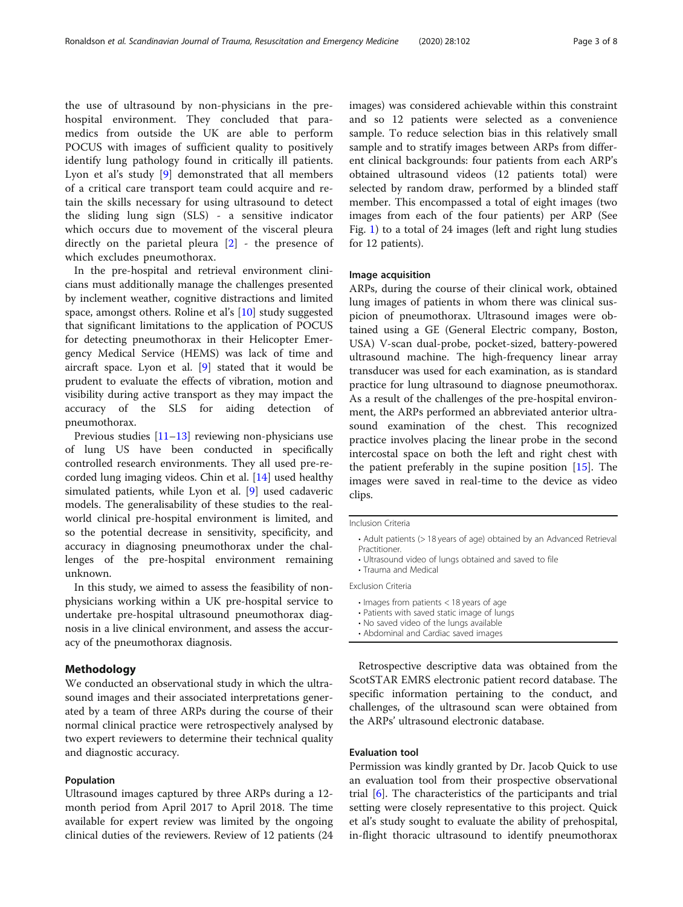the use of ultrasound by non-physicians in the prehospital environment. They concluded that paramedics from outside the UK are able to perform POCUS with images of sufficient quality to positively identify lung pathology found in critically ill patients. Lyon et al's study [\[9](#page-7-0)] demonstrated that all members of a critical care transport team could acquire and retain the skills necessary for using ultrasound to detect the sliding lung sign (SLS) - a sensitive indicator which occurs due to movement of the visceral pleura directly on the parietal pleura  $[2]$  $[2]$  - the presence of which excludes pneumothorax.

In the pre-hospital and retrieval environment clinicians must additionally manage the challenges presented by inclement weather, cognitive distractions and limited space, amongst others. Roline et al's [\[10](#page-7-0)] study suggested that significant limitations to the application of POCUS for detecting pneumothorax in their Helicopter Emergency Medical Service (HEMS) was lack of time and aircraft space. Lyon et al. [\[9](#page-7-0)] stated that it would be prudent to evaluate the effects of vibration, motion and visibility during active transport as they may impact the accuracy of the SLS for aiding detection of pneumothorax.

Previous studies  $[11-13]$  $[11-13]$  $[11-13]$  $[11-13]$  $[11-13]$  reviewing non-physicians use of lung US have been conducted in specifically controlled research environments. They all used pre-recorded lung imaging videos. Chin et al. [\[14](#page-7-0)] used healthy simulated patients, while Lyon et al. [\[9](#page-7-0)] used cadaveric models. The generalisability of these studies to the realworld clinical pre-hospital environment is limited, and so the potential decrease in sensitivity, specificity, and accuracy in diagnosing pneumothorax under the challenges of the pre-hospital environment remaining unknown.

In this study, we aimed to assess the feasibility of nonphysicians working within a UK pre-hospital service to undertake pre-hospital ultrasound pneumothorax diagnosis in a live clinical environment, and assess the accuracy of the pneumothorax diagnosis.

#### Methodology

We conducted an observational study in which the ultrasound images and their associated interpretations generated by a team of three ARPs during the course of their normal clinical practice were retrospectively analysed by two expert reviewers to determine their technical quality and diagnostic accuracy.

## Population

Ultrasound images captured by three ARPs during a 12 month period from April 2017 to April 2018. The time available for expert review was limited by the ongoing clinical duties of the reviewers. Review of 12 patients (24

images) was considered achievable within this constraint and so 12 patients were selected as a convenience sample. To reduce selection bias in this relatively small sample and to stratify images between ARPs from different clinical backgrounds: four patients from each ARP's obtained ultrasound videos (12 patients total) were selected by random draw, performed by a blinded staff member. This encompassed a total of eight images (two images from each of the four patients) per ARP (See Fig. [1](#page-3-0)) to a total of 24 images (left and right lung studies for 12 patients).

## Image acquisition

ARPs, during the course of their clinical work, obtained lung images of patients in whom there was clinical suspicion of pneumothorax. Ultrasound images were obtained using a GE (General Electric company, Boston, USA) V-scan dual-probe, pocket-sized, battery-powered ultrasound machine. The high-frequency linear array transducer was used for each examination, as is standard practice for lung ultrasound to diagnose pneumothorax. As a result of the challenges of the pre-hospital environment, the ARPs performed an abbreviated anterior ultrasound examination of the chest. This recognized practice involves placing the linear probe in the second intercostal space on both the left and right chest with the patient preferably in the supine position [[15](#page-7-0)]. The images were saved in real-time to the device as video clips.

| Inclusion Criteria |  |
|--------------------|--|
|--------------------|--|

- Adult patients (> 18 years of age) obtained by an Advanced Retrieval Practitioner.
- Ultrasound video of lungs obtained and saved to file
- Trauma and Medical

Exclusion Criteria

- Images from patients < 18 years of age
- Patients with saved static image of lungs
- No saved video of the lungs available
- Abdominal and Cardiac saved images

Retrospective descriptive data was obtained from the ScotSTAR EMRS electronic patient record database. The specific information pertaining to the conduct, and challenges, of the ultrasound scan were obtained from the ARPs' ultrasound electronic database.

## Evaluation tool

Permission was kindly granted by Dr. Jacob Quick to use an evaluation tool from their prospective observational trial [[6\]](#page-7-0). The characteristics of the participants and trial setting were closely representative to this project. Quick et al's study sought to evaluate the ability of prehospital, in-flight thoracic ultrasound to identify pneumothorax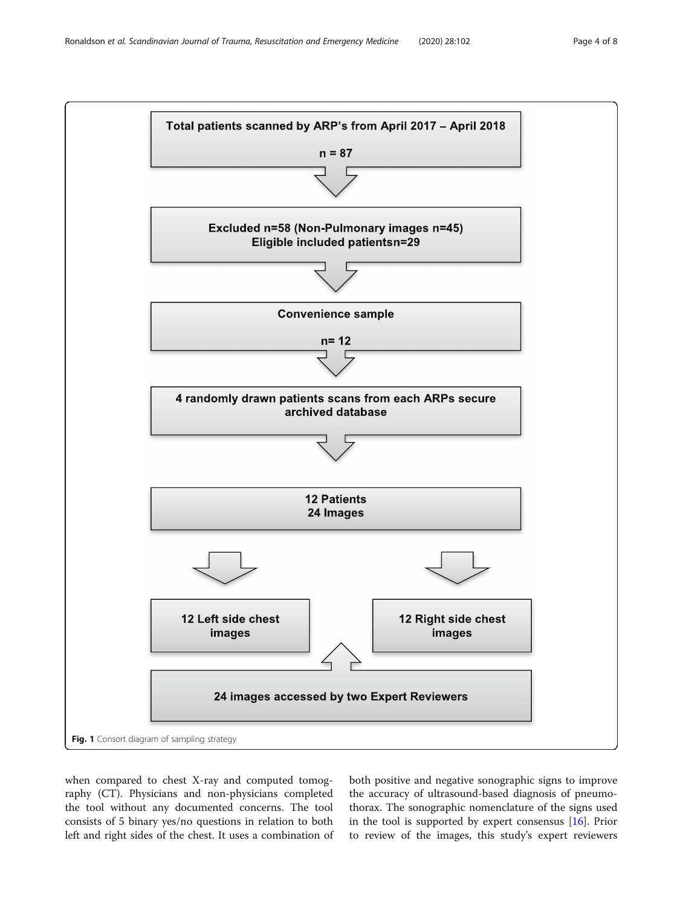<span id="page-3-0"></span>

when compared to chest X-ray and computed tomography (CT). Physicians and non-physicians completed the tool without any documented concerns. The tool consists of 5 binary yes/no questions in relation to both left and right sides of the chest. It uses a combination of both positive and negative sonographic signs to improve the accuracy of ultrasound-based diagnosis of pneumothorax. The sonographic nomenclature of the signs used in the tool is supported by expert consensus [\[16\]](#page-7-0). Prior to review of the images, this study's expert reviewers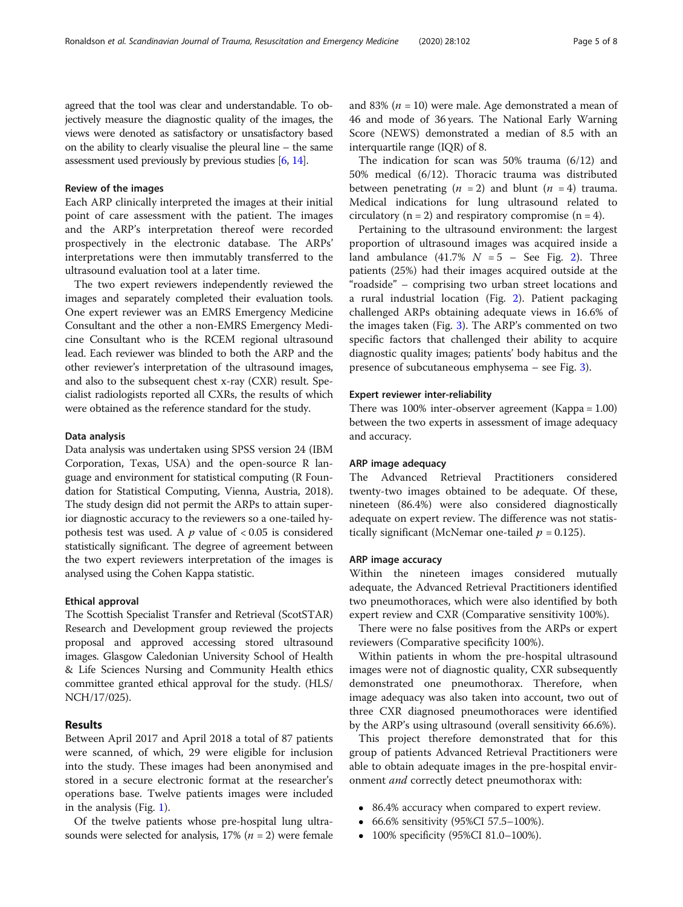agreed that the tool was clear and understandable. To objectively measure the diagnostic quality of the images, the views were denoted as satisfactory or unsatisfactory based on the ability to clearly visualise the pleural line – the same assessment used previously by previous studies [\[6](#page-7-0), [14](#page-7-0)].

## Review of the images

Each ARP clinically interpreted the images at their initial point of care assessment with the patient. The images and the ARP's interpretation thereof were recorded prospectively in the electronic database. The ARPs' interpretations were then immutably transferred to the ultrasound evaluation tool at a later time.

The two expert reviewers independently reviewed the images and separately completed their evaluation tools. One expert reviewer was an EMRS Emergency Medicine Consultant and the other a non-EMRS Emergency Medicine Consultant who is the RCEM regional ultrasound lead. Each reviewer was blinded to both the ARP and the other reviewer's interpretation of the ultrasound images, and also to the subsequent chest x-ray (CXR) result. Specialist radiologists reported all CXRs, the results of which were obtained as the reference standard for the study.

#### Data analysis

Data analysis was undertaken using SPSS version 24 (IBM Corporation, Texas, USA) and the open-source R language and environment for statistical computing (R Foundation for Statistical Computing, Vienna, Austria, 2018). The study design did not permit the ARPs to attain superior diagnostic accuracy to the reviewers so a one-tailed hypothesis test was used. A  $p$  value of  $< 0.05$  is considered statistically significant. The degree of agreement between the two expert reviewers interpretation of the images is analysed using the Cohen Kappa statistic.

#### Ethical approval

The Scottish Specialist Transfer and Retrieval (ScotSTAR) Research and Development group reviewed the projects proposal and approved accessing stored ultrasound images. Glasgow Caledonian University School of Health & Life Sciences Nursing and Community Health ethics committee granted ethical approval for the study. (HLS/ NCH/17/025).

## Results

Between April 2017 and April 2018 a total of 87 patients were scanned, of which, 29 were eligible for inclusion into the study. These images had been anonymised and stored in a secure electronic format at the researcher's operations base. Twelve patients images were included in the analysis (Fig. [1](#page-3-0)).

Of the twelve patients whose pre-hospital lung ultrasounds were selected for analysis,  $17\%$  ( $n = 2$ ) were female and 83% ( $n = 10$ ) were male. Age demonstrated a mean of 46 and mode of 36 years. The National Early Warning Score (NEWS) demonstrated a median of 8.5 with an interquartile range (IQR) of 8.

The indication for scan was 50% trauma (6/12) and 50% medical (6/12). Thoracic trauma was distributed between penetrating ( $n = 2$ ) and blunt ( $n = 4$ ) trauma. Medical indications for lung ultrasound related to circulatory ( $n = 2$ ) and respiratory compromise ( $n = 4$ ).

Pertaining to the ultrasound environment: the largest proportion of ultrasound images was acquired inside a land ambulance  $(41.7\% N = 5 - \text{See Fig. 2}).$  Three patients (25%) had their images acquired outside at the "roadside" – comprising two urban street locations and a rural industrial location (Fig. [2](#page-5-0)). Patient packaging challenged ARPs obtaining adequate views in 16.6% of the images taken (Fig. [3](#page-5-0)). The ARP's commented on two specific factors that challenged their ability to acquire diagnostic quality images; patients' body habitus and the presence of subcutaneous emphysema – see Fig. [3\)](#page-5-0).

## Expert reviewer inter-reliability

There was 100% inter-observer agreement (Kappa = 1.00) between the two experts in assessment of image adequacy and accuracy.

#### ARP image adequacy

The Advanced Retrieval Practitioners considered twenty-two images obtained to be adequate. Of these, nineteen (86.4%) were also considered diagnostically adequate on expert review. The difference was not statistically significant (McNemar one-tailed  $p = 0.125$ ).

## ARP image accuracy

Within the nineteen images considered mutually adequate, the Advanced Retrieval Practitioners identified two pneumothoraces, which were also identified by both expert review and CXR (Comparative sensitivity 100%).

There were no false positives from the ARPs or expert reviewers (Comparative specificity 100%).

Within patients in whom the pre-hospital ultrasound images were not of diagnostic quality, CXR subsequently demonstrated one pneumothorax. Therefore, when image adequacy was also taken into account, two out of three CXR diagnosed pneumothoraces were identified by the ARP's using ultrasound (overall sensitivity 66.6%).

This project therefore demonstrated that for this group of patients Advanced Retrieval Practitioners were able to obtain adequate images in the pre-hospital environment and correctly detect pneumothorax with:

- 86.4% accuracy when compared to expert review.
- 66.6% sensitivity (95%CI 57.5–100%).
- 100% specificity (95%CI 81.0–100%).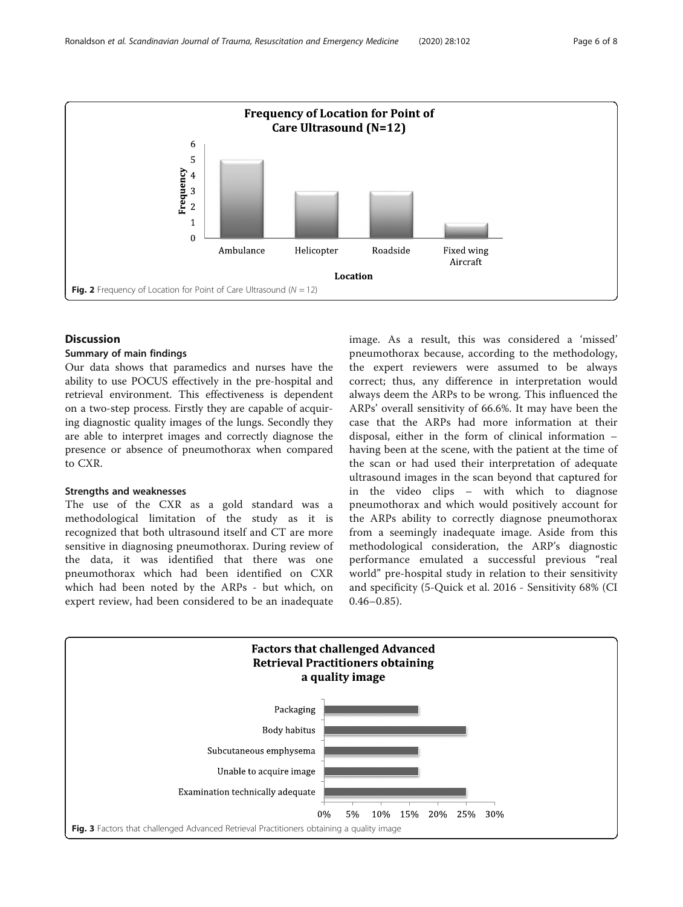<span id="page-5-0"></span>

## **Discussion**

## Summary of main findings

Our data shows that paramedics and nurses have the ability to use POCUS effectively in the pre-hospital and retrieval environment. This effectiveness is dependent on a two-step process. Firstly they are capable of acquiring diagnostic quality images of the lungs. Secondly they are able to interpret images and correctly diagnose the presence or absence of pneumothorax when compared to CXR.

## Strengths and weaknesses

The use of the CXR as a gold standard was a methodological limitation of the study as it is recognized that both ultrasound itself and CT are more sensitive in diagnosing pneumothorax. During review of the data, it was identified that there was one pneumothorax which had been identified on CXR which had been noted by the ARPs - but which, on expert review, had been considered to be an inadequate

image. As a result, this was considered a 'missed' pneumothorax because, according to the methodology, the expert reviewers were assumed to be always correct; thus, any difference in interpretation would always deem the ARPs to be wrong. This influenced the ARPs' overall sensitivity of 66.6%. It may have been the case that the ARPs had more information at their disposal, either in the form of clinical information – having been at the scene, with the patient at the time of the scan or had used their interpretation of adequate ultrasound images in the scan beyond that captured for in the video clips – with which to diagnose pneumothorax and which would positively account for the ARPs ability to correctly diagnose pneumothorax from a seemingly inadequate image. Aside from this methodological consideration, the ARP's diagnostic performance emulated a successful previous "real world" pre-hospital study in relation to their sensitivity and specificity (5-Quick et al. 2016 - Sensitivity 68% (CI 0.46–0.85).

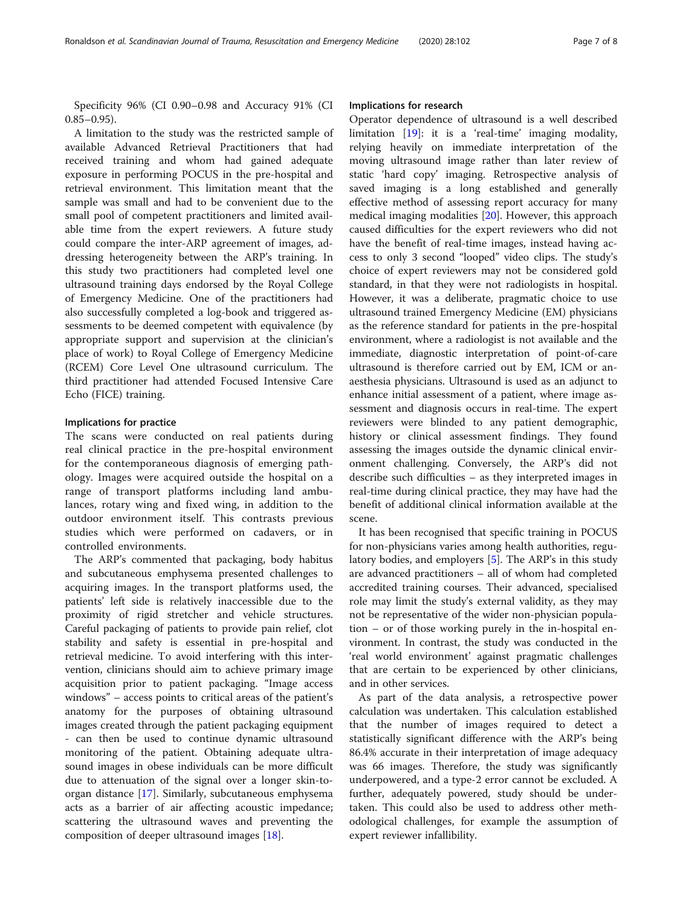Specificity 96% (CI 0.90–0.98 and Accuracy 91% (CI  $0.85 - 0.95$ ).

A limitation to the study was the restricted sample of available Advanced Retrieval Practitioners that had received training and whom had gained adequate exposure in performing POCUS in the pre-hospital and retrieval environment. This limitation meant that the sample was small and had to be convenient due to the small pool of competent practitioners and limited available time from the expert reviewers. A future study could compare the inter-ARP agreement of images, addressing heterogeneity between the ARP's training. In this study two practitioners had completed level one ultrasound training days endorsed by the Royal College of Emergency Medicine. One of the practitioners had also successfully completed a log-book and triggered assessments to be deemed competent with equivalence (by appropriate support and supervision at the clinician's place of work) to Royal College of Emergency Medicine (RCEM) Core Level One ultrasound curriculum. The third practitioner had attended Focused Intensive Care Echo (FICE) training.

#### Implications for practice

The scans were conducted on real patients during real clinical practice in the pre-hospital environment for the contemporaneous diagnosis of emerging pathology. Images were acquired outside the hospital on a range of transport platforms including land ambulances, rotary wing and fixed wing, in addition to the outdoor environment itself. This contrasts previous studies which were performed on cadavers, or in controlled environments.

The ARP's commented that packaging, body habitus and subcutaneous emphysema presented challenges to acquiring images. In the transport platforms used, the patients' left side is relatively inaccessible due to the proximity of rigid stretcher and vehicle structures. Careful packaging of patients to provide pain relief, clot stability and safety is essential in pre-hospital and retrieval medicine. To avoid interfering with this intervention, clinicians should aim to achieve primary image acquisition prior to patient packaging. "Image access windows" – access points to critical areas of the patient's anatomy for the purposes of obtaining ultrasound images created through the patient packaging equipment - can then be used to continue dynamic ultrasound monitoring of the patient. Obtaining adequate ultrasound images in obese individuals can be more difficult due to attenuation of the signal over a longer skin-toorgan distance [\[17](#page-7-0)]. Similarly, subcutaneous emphysema acts as a barrier of air affecting acoustic impedance; scattering the ultrasound waves and preventing the composition of deeper ultrasound images [\[18](#page-7-0)].

## Implications for research

Operator dependence of ultrasound is a well described limitation [[19](#page-7-0)]: it is a 'real-time' imaging modality, relying heavily on immediate interpretation of the moving ultrasound image rather than later review of static 'hard copy' imaging. Retrospective analysis of saved imaging is a long established and generally effective method of assessing report accuracy for many medical imaging modalities [\[20\]](#page-7-0). However, this approach caused difficulties for the expert reviewers who did not have the benefit of real-time images, instead having access to only 3 second "looped" video clips. The study's choice of expert reviewers may not be considered gold standard, in that they were not radiologists in hospital. However, it was a deliberate, pragmatic choice to use ultrasound trained Emergency Medicine (EM) physicians as the reference standard for patients in the pre-hospital environment, where a radiologist is not available and the immediate, diagnostic interpretation of point-of-care ultrasound is therefore carried out by EM, ICM or anaesthesia physicians. Ultrasound is used as an adjunct to enhance initial assessment of a patient, where image assessment and diagnosis occurs in real-time. The expert reviewers were blinded to any patient demographic, history or clinical assessment findings. They found assessing the images outside the dynamic clinical environment challenging. Conversely, the ARP's did not describe such difficulties – as they interpreted images in real-time during clinical practice, they may have had the benefit of additional clinical information available at the scene.

It has been recognised that specific training in POCUS for non-physicians varies among health authorities, regulatory bodies, and employers [\[5](#page-7-0)]. The ARP's in this study are advanced practitioners – all of whom had completed accredited training courses. Their advanced, specialised role may limit the study's external validity, as they may not be representative of the wider non-physician population – or of those working purely in the in-hospital environment. In contrast, the study was conducted in the 'real world environment' against pragmatic challenges that are certain to be experienced by other clinicians, and in other services.

As part of the data analysis, a retrospective power calculation was undertaken. This calculation established that the number of images required to detect a statistically significant difference with the ARP's being 86.4% accurate in their interpretation of image adequacy was 66 images. Therefore, the study was significantly underpowered, and a type-2 error cannot be excluded. A further, adequately powered, study should be undertaken. This could also be used to address other methodological challenges, for example the assumption of expert reviewer infallibility.